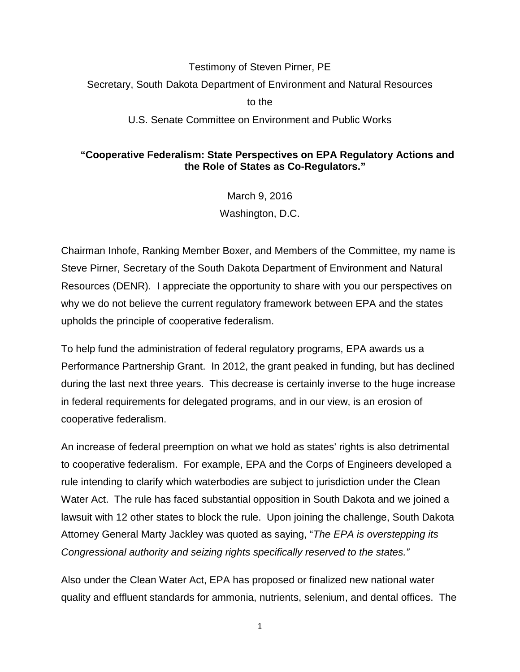## Testimony of Steven Pirner, PE Secretary, South Dakota Department of Environment and Natural Resources to the

## U.S. Senate Committee on Environment and Public Works

## **"Cooperative Federalism: State Perspectives on EPA Regulatory Actions and the Role of States as Co-Regulators."**

March 9, 2016 Washington, D.C.

Chairman Inhofe, Ranking Member Boxer, and Members of the Committee, my name is Steve Pirner, Secretary of the South Dakota Department of Environment and Natural Resources (DENR). I appreciate the opportunity to share with you our perspectives on why we do not believe the current regulatory framework between EPA and the states upholds the principle of cooperative federalism.

To help fund the administration of federal regulatory programs, EPA awards us a Performance Partnership Grant. In 2012, the grant peaked in funding, but has declined during the last next three years. This decrease is certainly inverse to the huge increase in federal requirements for delegated programs, and in our view, is an erosion of cooperative federalism.

An increase of federal preemption on what we hold as states' rights is also detrimental to cooperative federalism. For example, EPA and the Corps of Engineers developed a rule intending to clarify which waterbodies are subject to jurisdiction under the Clean Water Act. The rule has faced substantial opposition in South Dakota and we joined a lawsuit with 12 other states to block the rule. Upon joining the challenge, South Dakota Attorney General Marty Jackley was quoted as saying, "*The EPA is overstepping its Congressional authority and seizing rights specifically reserved to the states."*

Also under the Clean Water Act, EPA has proposed or finalized new national water quality and effluent standards for ammonia, nutrients, selenium, and dental offices. The

1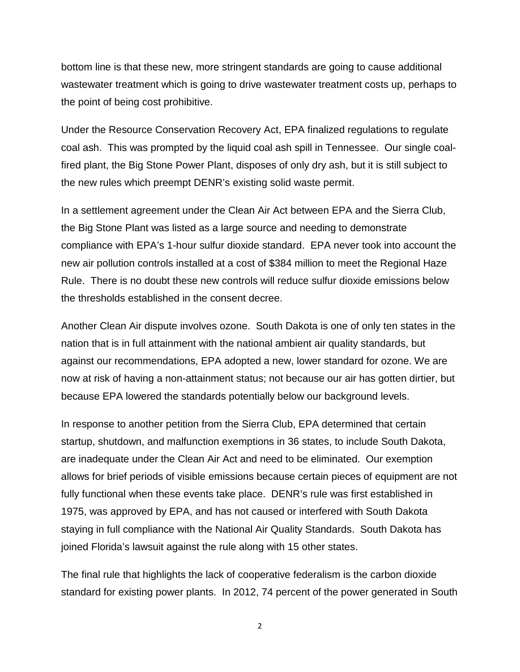bottom line is that these new, more stringent standards are going to cause additional wastewater treatment which is going to drive wastewater treatment costs up, perhaps to the point of being cost prohibitive.

Under the Resource Conservation Recovery Act, EPA finalized regulations to regulate coal ash. This was prompted by the liquid coal ash spill in Tennessee. Our single coalfired plant, the Big Stone Power Plant, disposes of only dry ash, but it is still subject to the new rules which preempt DENR's existing solid waste permit.

In a settlement agreement under the Clean Air Act between EPA and the Sierra Club, the Big Stone Plant was listed as a large source and needing to demonstrate compliance with EPA's 1-hour sulfur dioxide standard. EPA never took into account the new air pollution controls installed at a cost of \$384 million to meet the Regional Haze Rule. There is no doubt these new controls will reduce sulfur dioxide emissions below the thresholds established in the consent decree.

Another Clean Air dispute involves ozone. South Dakota is one of only ten states in the nation that is in full attainment with the national ambient air quality standards, but against our recommendations, EPA adopted a new, lower standard for ozone. We are now at risk of having a non-attainment status; not because our air has gotten dirtier, but because EPA lowered the standards potentially below our background levels.

In response to another petition from the Sierra Club, EPA determined that certain startup, shutdown, and malfunction exemptions in 36 states, to include South Dakota, are inadequate under the Clean Air Act and need to be eliminated. Our exemption allows for brief periods of visible emissions because certain pieces of equipment are not fully functional when these events take place. DENR's rule was first established in 1975, was approved by EPA, and has not caused or interfered with South Dakota staying in full compliance with the National Air Quality Standards. South Dakota has joined Florida's lawsuit against the rule along with 15 other states.

The final rule that highlights the lack of cooperative federalism is the carbon dioxide standard for existing power plants. In 2012, 74 percent of the power generated in South

2